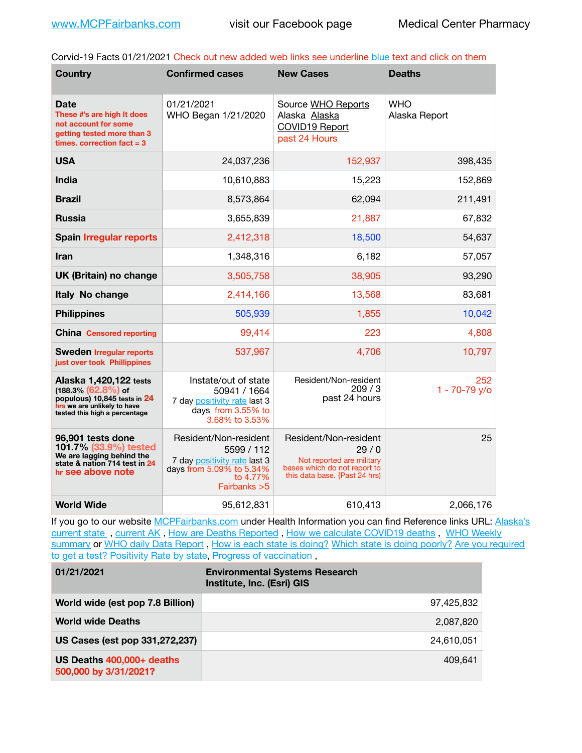Corvid-19 Facts 01/21/2021 Check out new added web links see underline blue text and click on them

| <b>Country</b>                                                                                                                                   | <b>Confirmed cases</b>                                                                                                       | <b>New Cases</b>                                                                                                            | <b>Deaths</b>               |
|--------------------------------------------------------------------------------------------------------------------------------------------------|------------------------------------------------------------------------------------------------------------------------------|-----------------------------------------------------------------------------------------------------------------------------|-----------------------------|
| <b>Date</b><br>These #'s are high It does<br>not account for some<br>getting tested more than 3<br>times, correction fact $=$ 3                  | 01/21/2021<br>WHO Began 1/21/2020                                                                                            | Source WHO Reports<br>Alaska Alaska<br>COVID19 Report<br>past 24 Hours                                                      | <b>WHO</b><br>Alaska Report |
| <b>USA</b>                                                                                                                                       | 24,037,236                                                                                                                   | 152,937                                                                                                                     | 398,435                     |
| <b>India</b>                                                                                                                                     | 10,610,883                                                                                                                   | 15,223                                                                                                                      | 152,869                     |
| <b>Brazil</b>                                                                                                                                    | 8,573,864                                                                                                                    | 62,094                                                                                                                      | 211,491                     |
| <b>Russia</b>                                                                                                                                    | 3,655,839                                                                                                                    | 21,887                                                                                                                      | 67,832                      |
| <b>Spain Irregular reports</b>                                                                                                                   | 2,412,318                                                                                                                    | 18,500                                                                                                                      | 54,637                      |
| <b>Iran</b>                                                                                                                                      | 1,348,316                                                                                                                    | 6,182                                                                                                                       | 57,057                      |
| UK (Britain) no change                                                                                                                           | 3,505,758                                                                                                                    | 38,905                                                                                                                      | 93,290                      |
| Italy No change                                                                                                                                  | 2,414,166                                                                                                                    | 13,568                                                                                                                      | 83,681                      |
| <b>Philippines</b>                                                                                                                               | 505,939                                                                                                                      | 1,855                                                                                                                       | 10,042                      |
| <b>China Censored reporting</b>                                                                                                                  | 99,414                                                                                                                       | 223                                                                                                                         | 4,808                       |
| <b>Sweden Irregular reports</b><br>just over took Phillippines                                                                                   | 537,967                                                                                                                      | 4,706                                                                                                                       | 10,797                      |
| Alaska 1,420,122 tests<br>$(188.3\%)(62.8\%)$ of<br>populous) 10,845 tests in 24<br>hrs we are unlikely to have<br>tested this high a percentage | Instate/out of state<br>50941 / 1664<br>7 day positivity rate last 3<br>days from 3.55% to<br>3.68% to 3.53%                 | Resident/Non-resident<br>209/3<br>past 24 hours                                                                             | 252<br>$1 - 70 - 79$ y/o    |
| 96,901 tests done<br>101.7% (33.9%) tested<br>We are lagging behind the<br>state & nation 714 test in 24<br>hr see above note                    | Resident/Non-resident<br>5599 / 112<br>7 day positivity rate last 3<br>days from 5.09% to 5.34%<br>to 4.77%<br>Fairbanks > 5 | Resident/Non-resident<br>29/0<br>Not reported are military<br>bases which do not report to<br>this data base. {Past 24 hrs) | 25                          |
| <b>World Wide</b>                                                                                                                                | 95,612,831                                                                                                                   | 610,413                                                                                                                     | 2,066,176                   |

If you go to our website [MCPFairbanks.com](http://www.MCPFairbanks.com) under Health Information you can find Reference links URL: Alaska's current state, current AK, [How are Deaths Reported](http://dhss.alaska.gov/dph/Epi/id/Pages/COVID-19/deathcounts.aspx), [How we calculate COVID19 deaths](https://coronavirus-response-alaska-dhss.hub.arcgis.com/search?collection=Document&groupIds=41ccb3344ebc4bd682c74073eba21f42), WHO Weekly [summary](http://www.who.int) or [WHO daily Data Report](https://covid19.who.int/table), [How is each state is doing?](https://www.msn.com/en-us/news/us/state-by-state-coronavirus-news/ar-BB13E1PX?fbclid=IwAR0_OBJH7lSyTN3ug_MsOeFnNgB1orTa9OBgilKJ7dhnwlVvHEsptuKkj1c) [Which state is doing poorly?](https://bestlifeonline.com/covid-outbreak-your-state/?utm_source=nsltr&utm_medium=email&utm_content=covid-outbreak-your-state&utm_campaign=launch) Are you required [to get a test?](http://dhss.alaska.gov/dph/Epi/id/SiteAssets/Pages/HumanCoV/Whattodoafteryourtest.pdf) [Positivity Rate by state](https://coronavirus.jhu.edu/testing/individual-states/alaska), [Progress of vaccination](https://covid.cdc.gov/covid-data-tracker/#vaccinations),

| 01/21/2021                                         | <b>Environmental Systems Research</b><br>Institute, Inc. (Esri) GIS |
|----------------------------------------------------|---------------------------------------------------------------------|
| World wide (est pop 7.8 Billion)                   | 97.425.832                                                          |
| <b>World wide Deaths</b>                           | 2.087.820                                                           |
| US Cases (est pop 331,272,237)                     | 24.610.051                                                          |
| US Deaths 400,000+ deaths<br>500,000 by 3/31/2021? | 409.641                                                             |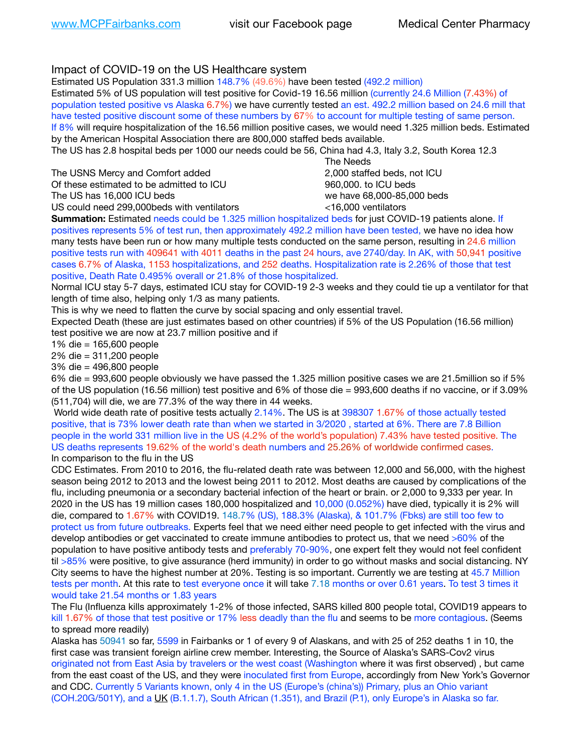## Impact of COVID-19 on the US Healthcare system

Estimated US Population 331.3 million 148.7% (49.6%) have been tested (492.2 million)

Estimated 5% of US population will test positive for Covid-19 16.56 million (currently 24.6 Million (7.43%) of population tested positive vs Alaska 6.7%) we have currently tested an est. 492.2 million based on 24.6 mill that have tested positive discount some of these numbers by 67% to account for multiple testing of same person. If 8% will require hospitalization of the 16.56 million positive cases, we would need 1.325 million beds. Estimated by the American Hospital Association there are 800,000 staffed beds available.

The US has 2.8 hospital beds per 1000 our needs could be 56, China had 4.3, Italy 3.2, South Korea 12.3

The USNS Mercy and Comfort added **8.2000** staffed beds, not ICU Of these estimated to be admitted to ICU 860,000. to ICU beds The US has 16,000 ICU beds we have 68,000-85,000 beds

US could need 299,000beds with ventilators <16,000 ventilators

 The Needs

**Summation:** Estimated needs could be 1.325 million hospitalized beds for just COVID-19 patients alone. If positives represents 5% of test run, then approximately 492.2 million have been tested, we have no idea how many tests have been run or how many multiple tests conducted on the same person, resulting in 24.6 million positive tests run with 409641 with 4011 deaths in the past 24 hours, ave 2740/day. In AK, with 50,941 positive cases 6.7% of Alaska, 1153 hospitalizations, and 252 deaths. Hospitalization rate is 2.26% of those that test positive, Death Rate 0.495% overall or 21.8% of those hospitalized.

Normal ICU stay 5-7 days, estimated ICU stay for COVID-19 2-3 weeks and they could tie up a ventilator for that length of time also, helping only 1/3 as many patients.

This is why we need to flatten the curve by social spacing and only essential travel.

Expected Death (these are just estimates based on other countries) if 5% of the US Population (16.56 million) test positive we are now at 23.7 million positive and if

1% die = 165,600 people

2% die = 311,200 people

3% die = 496,800 people

6% die = 993,600 people obviously we have passed the 1.325 million positive cases we are 21.5million so if 5% of the US population (16.56 million) test positive and 6% of those die = 993,600 deaths if no vaccine, or if 3.09% (511,704) will die, we are 77.3% of the way there in 44 weeks.

 World wide death rate of positive tests actually 2.14%. The US is at 398307 1.67% of those actually tested positive, that is 73% lower death rate than when we started in 3/2020 , started at 6%. There are 7.8 Billion people in the world 331 million live in the US (4.2% of the world's population) 7.43% have tested positive. The US deaths represents 19.62% of the world's death numbers and 25.26% of worldwide confirmed cases. In comparison to the flu in the US

CDC Estimates. From 2010 to 2016, the flu-related death rate was between 12,000 and 56,000, with the highest season being 2012 to 2013 and the lowest being 2011 to 2012. Most deaths are caused by complications of the flu, including pneumonia or a secondary bacterial infection of the heart or brain. or 2,000 to 9,333 per year. In 2020 in the US has 19 million cases 180,000 hospitalized and 10,000 (0.052%) have died, typically it is 2% will die, compared to 1.67% with COVID19. 148.7% (US), 188.3% (Alaska), & 101.7% (Fbks) are still too few to protect us from future outbreaks. Experts feel that we need either need people to get infected with the virus and develop antibodies or get vaccinated to create immune antibodies to protect us, that we need >60% of the population to have positive antibody tests and preferably 70-90%, one expert felt they would not feel confident til >85% were positive, to give assurance (herd immunity) in order to go without masks and social distancing. NY City seems to have the highest number at 20%. Testing is so important. Currently we are testing at 45.7 Million tests per month. At this rate to test everyone once it will take 7.18 months or over 0.61 years. To test 3 times it would take 21.54 months or 1.83 years

The Flu (Influenza kills approximately 1-2% of those infected, SARS killed 800 people total, COVID19 appears to kill 1.67% of those that test positive or 17% less deadly than the flu and seems to be more contagious. (Seems to spread more readily)

Alaska has 50941 so far, 5599 in Fairbanks or 1 of every 9 of Alaskans, and with 25 of 252 deaths 1 in 10, the first case was transient foreign airline crew member. Interesting, the Source of Alaska's SARS-Cov2 virus originated not from East Asia by travelers or the west coast (Washington where it was first observed) , but came from the east coast of the US, and they were inoculated first from Europe, accordingly from New York's Governor and CDC. Currently 5 Variants known, only 4 in the US (Europe's (china's)) Primary, plus an Ohio variant (COH.20G/501Y), and a [UK](https://www.cdc.gov/coronavirus/2019-ncov/transmission/variant-cases.html) (B.1.1.7), South African (1.351), and Brazil (P.1), only Europe's in Alaska so far.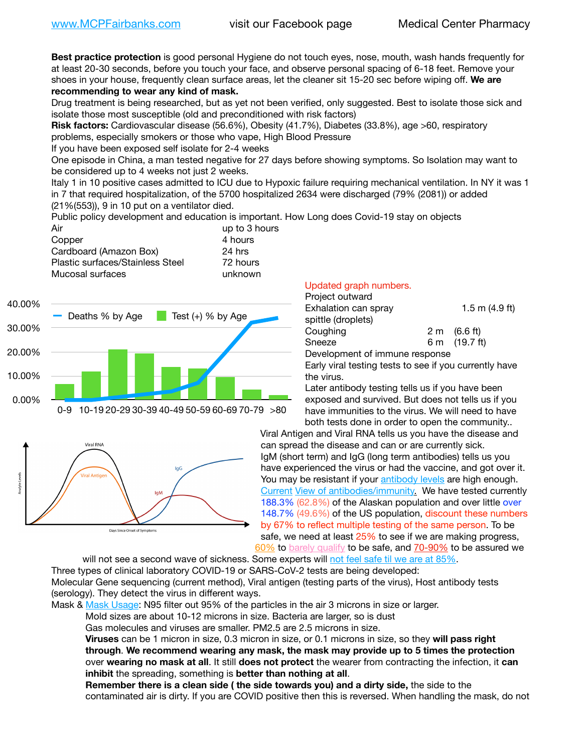**Best practice protection** is good personal Hygiene do not touch eyes, nose, mouth, wash hands frequently for at least 20-30 seconds, before you touch your face, and observe personal spacing of 6-18 feet. Remove your shoes in your house, frequently clean surface areas, let the cleaner sit 15-20 sec before wiping off. **We are recommending to wear any kind of mask.**

Drug treatment is being researched, but as yet not been verified, only suggested. Best to isolate those sick and isolate those most susceptible (old and preconditioned with risk factors)

**Risk factors:** Cardiovascular disease (56.6%), Obesity (41.7%), Diabetes (33.8%), age >60, respiratory problems, especially smokers or those who vape, High Blood Pressure

If you have been exposed self isolate for 2-4 weeks

One episode in China, a man tested negative for 27 days before showing symptoms. So Isolation may want to be considered up to 4 weeks not just 2 weeks.

Italy 1 in 10 positive cases admitted to ICU due to Hypoxic failure requiring mechanical ventilation. In NY it was 1 in 7 that required hospitalization, of the 5700 hospitalized 2634 were discharged (79% (2081)) or added (21%(553)), 9 in 10 put on a ventilator died.

Public policy development and education is important. How Long does Covid-19 stay on objects

| Air                              | up to 3 hours |
|----------------------------------|---------------|
| Copper                           | 4 hours       |
| Cardboard (Amazon Box)           | $24$ hrs      |
| Plastic surfaces/Stainless Steel | 72 hours      |
| Mucosal surfaces                 | unknown       |
|                                  |               |





## Updated graph numbers.

| Project outward                                        |  |                        |
|--------------------------------------------------------|--|------------------------|
| Exhalation can spray                                   |  | $1.5$ m $(4.9$ ft)     |
| spittle (droplets)                                     |  |                        |
| Coughing                                               |  | $2 \text{ m}$ (6.6 ft) |
| Sneeze                                                 |  | 6 m (19.7 ft)          |
| Development of immune response                         |  |                        |
| Farly viral tecting tects to see if you currently have |  |                        |

Early viral testing tests to see if you currently have the virus.

Later antibody testing tells us if you have been exposed and survived. But does not tells us if you have immunities to the virus. We will need to have both tests done in order to open the community..

Viral Antigen and Viral RNA tells us you have the disease and can spread the disease and can or are currently sick. IgM (short term) and IgG (long term antibodies) tells us you have experienced the virus or had the vaccine, and got over it. You may be resistant if your **antibody levels** are high enough. [Current](https://l.facebook.com/l.php?u=https://www.itv.com/news/2020-10-26/covid-19-antibody-levels-reduce-over-time-study-finds?fbclid=IwAR3Dapzh1qIH1EIOdUQI2y8THf7jfA4KBCaJz8Qg-8xe1YsrR4nsAHDIXSY&h=AT30nut8pkqp0heVuz5W2rT2WFFm-2Ab52BsJxZZCNlGsX58IpPkuVEPULbIUV_M16MAukx1Kwb657DPXxsgDN1rpOQ4gqBtQsmVYiWpnHPJo2RQsU6CPMd14lgLnQnFWxfVi6zvmw&__tn__=-UK-R&c%5B0%5D=AT1GaRAfR_nGAyqcn7TI1-PpvqOqEKXHnz6TDWvRStMnOSH7boQDvTiwTOc6VId9UES6LKiOmm2m88wKCoolkJyOFvakt2Z1Mw8toYWGGoWW23r0MNVBl7cYJXB_UOvGklNHaNnaNr1_S7NhT3BSykNOBg) [View of antibodies/immunity](https://www.livescience.com/antibodies.html)[.](https://www.itv.com/news/2020-10-26/covid-19-antibody-levels-reduce-over-time-study-finds) We have tested currently 188.3% (62.8%) of the Alaskan population and over little over 148.7% (49.6%) of the US population, discount these numbers by 67% to reflect multiple testing of the same person. To be safe, we need at least 25% to see if we are making progress, [60%](https://www.jhsph.edu/covid-19/articles/achieving-herd-immunity-with-covid19.html) to [barely qualify](https://www.nature.com/articles/d41586-020-02948-4) to be safe, and [70-90%](https://www.mayoclinic.org/herd-immunity-and-coronavirus/art-20486808) to be assured we

will not see a second wave of sickness. Some experts will [not feel safe til we are at 85%.](https://www.bannerhealth.com/healthcareblog/teach-me/what-is-herd-immunity)

Three types of clinical laboratory COVID-19 or SARS-CoV-2 tests are being developed: Molecular Gene sequencing (current method), Viral antigen (testing parts of the virus), Host antibody tests (serology). They detect the virus in different ways.

Mask & [Mask Usage:](https://www.nationalgeographic.com/history/2020/03/how-cities-flattened-curve-1918-spanish-flu-pandemic-coronavirus/) N95 filter out 95% of the particles in the air 3 microns in size or larger.

Mold sizes are about 10-12 microns in size. Bacteria are larger, so is dust

Gas molecules and viruses are smaller. PM2.5 are 2.5 microns in size.

**Viruses** can be 1 micron in size, 0.3 micron in size, or 0.1 microns in size, so they **will pass right through**. **We recommend wearing any mask, the mask may provide up to 5 times the protection** over **wearing no mask at all**. It still **does not protect** the wearer from contracting the infection, it **can inhibit** the spreading, something is **better than nothing at all**.

**Remember there is a clean side ( the side towards you) and a dirty side,** the side to the contaminated air is dirty. If you are COVID positive then this is reversed. When handling the mask, do not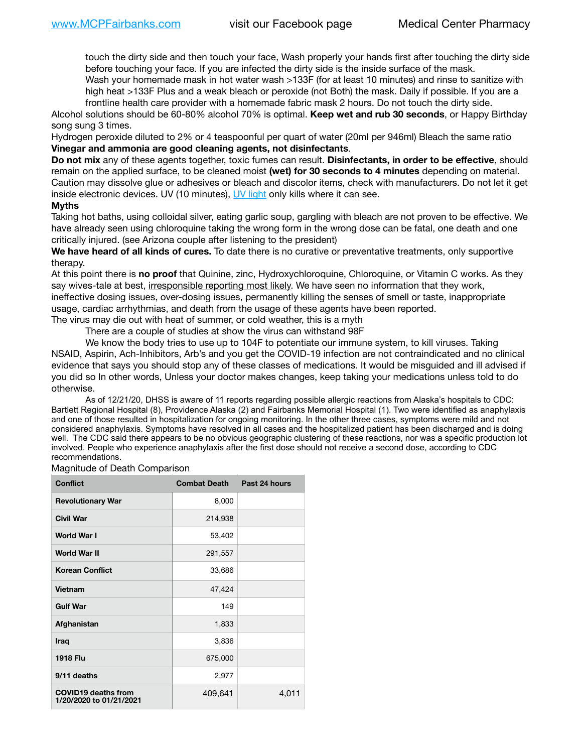touch the dirty side and then touch your face, Wash properly your hands first after touching the dirty side before touching your face. If you are infected the dirty side is the inside surface of the mask.

Wash your homemade mask in hot water wash >133F (for at least 10 minutes) and rinse to sanitize with high heat >133F Plus and a weak bleach or peroxide (not Both) the mask. Daily if possible. If you are a frontline health care provider with a homemade fabric mask 2 hours. Do not touch the dirty side.

Alcohol solutions should be 60-80% alcohol 70% is optimal. **Keep wet and rub 30 seconds**, or Happy Birthday song sung 3 times.

Hydrogen peroxide diluted to 2% or 4 teaspoonful per quart of water (20ml per 946ml) Bleach the same ratio **Vinegar and ammonia are good cleaning agents, not disinfectants**.

**Do not mix** any of these agents together, toxic fumes can result. **Disinfectants, in order to be effective**, should remain on the applied surface, to be cleaned moist **(wet) for 30 seconds to 4 minutes** depending on material. Caution may dissolve glue or adhesives or bleach and discolor items, check with manufacturers. Do not let it get inside electronic devices. UV (10 minutes), [UV light](http://www.docreviews.me/best-uv-boxes-2020/?fbclid=IwAR3bvFtXB48OoBBSvYvTEnKuHNPbipxM6jUo82QUSw9wckxjC7wwRZWabGw) only kills where it can see.

## **Myths**

Taking hot baths, using colloidal silver, eating garlic soup, gargling with bleach are not proven to be effective. We have already seen using chloroquine taking the wrong form in the wrong dose can be fatal, one death and one critically injured. (see Arizona couple after listening to the president)

**We have heard of all kinds of cures.** To date there is no curative or preventative treatments, only supportive therapy.

At this point there is **no proof** that Quinine, zinc, Hydroxychloroquine, Chloroquine, or Vitamin C works. As they say wives-tale at best, irresponsible reporting most likely. We have seen no information that they work, ineffective dosing issues, over-dosing issues, permanently killing the senses of smell or taste, inappropriate usage, cardiac arrhythmias, and death from the usage of these agents have been reported. The virus may die out with heat of summer, or cold weather, this is a myth

There are a couple of studies at show the virus can withstand 98F

We know the body tries to use up to 104F to potentiate our immune system, to kill viruses. Taking NSAID, Aspirin, Ach-Inhibitors, Arb's and you get the COVID-19 infection are not contraindicated and no clinical evidence that says you should stop any of these classes of medications. It would be misguided and ill advised if you did so In other words, Unless your doctor makes changes, keep taking your medications unless told to do otherwise.

As of 12/21/20, DHSS is aware of 11 reports regarding possible allergic reactions from Alaska's hospitals to CDC: Bartlett Regional Hospital (8), Providence Alaska (2) and Fairbanks Memorial Hospital (1). Two were identified as anaphylaxis and one of those resulted in hospitalization for ongoing monitoring. In the other three cases, symptoms were mild and not considered anaphylaxis. Symptoms have resolved in all cases and the hospitalized patient has been discharged and is doing well. The CDC said there appears to be no obvious geographic clustering of these reactions, nor was a specific production lot involved. People who experience anaphylaxis after the first dose should not receive a second dose, according to CDC recommendations.

Magnitude of Death Comparison

| <b>Conflict</b>                                       | <b>Combat Death</b> | Past 24 hours |
|-------------------------------------------------------|---------------------|---------------|
| <b>Revolutionary War</b>                              | 8,000               |               |
| <b>Civil War</b>                                      | 214,938             |               |
| World War I                                           | 53,402              |               |
| <b>World War II</b>                                   | 291,557             |               |
| <b>Korean Conflict</b>                                | 33,686              |               |
| <b>Vietnam</b>                                        | 47,424              |               |
| <b>Gulf War</b>                                       | 149                 |               |
| Afghanistan                                           | 1,833               |               |
| <b>Iraq</b>                                           | 3,836               |               |
| <b>1918 Flu</b>                                       | 675,000             |               |
| 9/11 deaths                                           | 2,977               |               |
| <b>COVID19 deaths from</b><br>1/20/2020 to 01/21/2021 | 409,641             | 4,011         |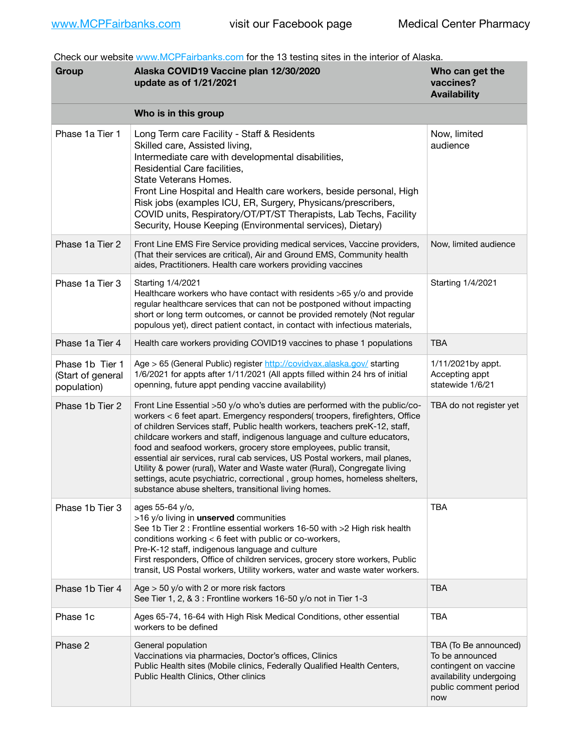Check our website [www.MCPFairbanks.com](http://www.MCPFairbanks.com) for the 13 testing sites in the interior of Alaska.

| Group                                               | Alaska COVID19 Vaccine plan 12/30/2020<br>update as of 1/21/2021                                                                                                                                                                                                                                                                                                                                                                                                                                                                                                                                                                                                                              | Who can get the<br>vaccines?<br><b>Availability</b>                                                                          |
|-----------------------------------------------------|-----------------------------------------------------------------------------------------------------------------------------------------------------------------------------------------------------------------------------------------------------------------------------------------------------------------------------------------------------------------------------------------------------------------------------------------------------------------------------------------------------------------------------------------------------------------------------------------------------------------------------------------------------------------------------------------------|------------------------------------------------------------------------------------------------------------------------------|
|                                                     | Who is in this group                                                                                                                                                                                                                                                                                                                                                                                                                                                                                                                                                                                                                                                                          |                                                                                                                              |
| Phase 1a Tier 1                                     | Long Term care Facility - Staff & Residents<br>Skilled care, Assisted living,<br>Intermediate care with developmental disabilities,<br>Residential Care facilities.<br>State Veterans Homes.<br>Front Line Hospital and Health care workers, beside personal, High<br>Risk jobs (examples ICU, ER, Surgery, Physicans/prescribers,<br>COVID units, Respiratory/OT/PT/ST Therapists, Lab Techs, Facility<br>Security, House Keeping (Environmental services), Dietary)                                                                                                                                                                                                                         | Now, limited<br>audience                                                                                                     |
| Phase 1a Tier 2                                     | Front Line EMS Fire Service providing medical services, Vaccine providers,<br>(That their services are critical), Air and Ground EMS, Community health<br>aides, Practitioners. Health care workers providing vaccines                                                                                                                                                                                                                                                                                                                                                                                                                                                                        | Now, limited audience                                                                                                        |
| Phase 1a Tier 3                                     | Starting 1/4/2021<br>Healthcare workers who have contact with residents >65 y/o and provide<br>regular healthcare services that can not be postponed without impacting<br>short or long term outcomes, or cannot be provided remotely (Not regular<br>populous yet), direct patient contact, in contact with infectious materials,                                                                                                                                                                                                                                                                                                                                                            | Starting 1/4/2021                                                                                                            |
| Phase 1a Tier 4                                     | Health care workers providing COVID19 vaccines to phase 1 populations                                                                                                                                                                                                                                                                                                                                                                                                                                                                                                                                                                                                                         | <b>TBA</b>                                                                                                                   |
| Phase 1b Tier 1<br>(Start of general<br>population) | Age > 65 (General Public) register http://covidvax.alaska.gov/ starting<br>1/6/2021 for appts after 1/11/2021 (All appts filled within 24 hrs of initial<br>openning, future appt pending vaccine availability)                                                                                                                                                                                                                                                                                                                                                                                                                                                                               | 1/11/2021by appt.<br>Accepting appt<br>statewide 1/6/21                                                                      |
| Phase 1b Tier 2                                     | Front Line Essential >50 y/o who's duties are performed with the public/co-<br>workers < 6 feet apart. Emergency responders( troopers, firefighters, Office<br>of children Services staff, Public health workers, teachers preK-12, staff,<br>childcare workers and staff, indigenous language and culture educators,<br>food and seafood workers, grocery store employees, public transit,<br>essential air services, rural cab services, US Postal workers, mail planes,<br>Utility & power (rural), Water and Waste water (Rural), Congregate living<br>settings, acute psychiatric, correctional, group homes, homeless shelters,<br>substance abuse shelters, transitional living homes. | TBA do not register yet                                                                                                      |
| Phase 1b Tier 3                                     | ages 55-64 y/o,<br>>16 y/o living in unserved communities<br>See 1b Tier 2 : Frontline essential workers 16-50 with >2 High risk health<br>conditions working < 6 feet with public or co-workers,<br>Pre-K-12 staff, indigenous language and culture<br>First responders, Office of children services, grocery store workers, Public<br>transit, US Postal workers, Utility workers, water and waste water workers.                                                                                                                                                                                                                                                                           | <b>TBA</b>                                                                                                                   |
| Phase 1b Tier 4                                     | Age $>$ 50 y/o with 2 or more risk factors<br>See Tier 1, 2, & 3 : Frontline workers 16-50 y/o not in Tier 1-3                                                                                                                                                                                                                                                                                                                                                                                                                                                                                                                                                                                | <b>TBA</b>                                                                                                                   |
| Phase 1c                                            | Ages 65-74, 16-64 with High Risk Medical Conditions, other essential<br>workers to be defined                                                                                                                                                                                                                                                                                                                                                                                                                                                                                                                                                                                                 | <b>TBA</b>                                                                                                                   |
| Phase 2                                             | General population<br>Vaccinations via pharmacies, Doctor's offices, Clinics<br>Public Health sites (Mobile clinics, Federally Qualified Health Centers,<br>Public Health Clinics, Other clinics                                                                                                                                                                                                                                                                                                                                                                                                                                                                                              | TBA (To Be announced)<br>To be announced<br>contingent on vaccine<br>availability undergoing<br>public comment period<br>now |